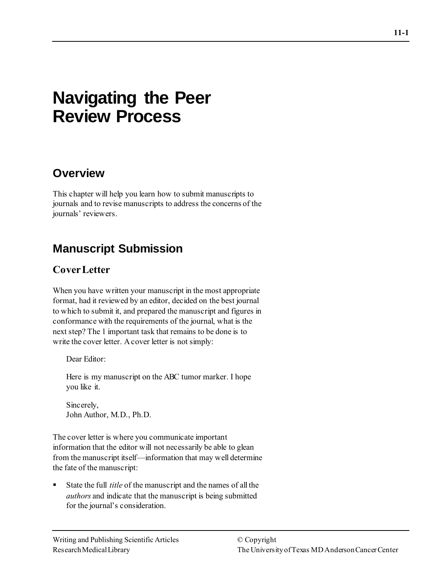# **Navigating the Peer Review Process**

## **Overview**

This chapter will help you learn how to submit manuscripts to journals and to revise manuscripts to address the concerns of the journals' reviewers.

## **Manuscript Submission**

### **Cover Letter**

When you have written your manuscript in the most appropriate format, had it reviewed by an editor, decided on the best journal to which to submit it, and prepared the manuscript and figures in conformance with the requirements of the journal, what is the next step? The 1 important task that remains to be done is to write the cover letter. A cover letter is not simply:

Dear Editor:

Here is my manuscript on the ABC tumor marker. I hope you like it.

Sincerely, John Author, M.D., Ph.D.

The cover letter is where you communicate important information that the editor will not necessarily be able to glean from the manuscript itself—information that may well determine the fate of the manuscript:

State the full *title* of the manuscript and the names of all the *authors* and indicate that the manuscript is being submitted for the journal's consideration.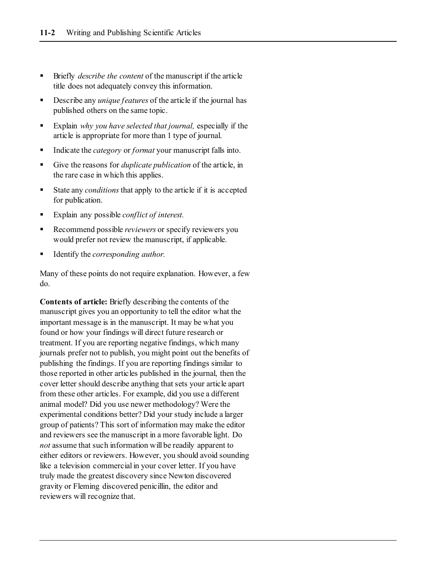- Briefly *describe the content* of the manuscript if the article title does not adequately convey this information.
- Describe any *unique features* of the article if the journal has published others on the same topic.
- Explain *why you have selected that journal*, especially if the article is appropriate for more than 1 type of journal.
- Indicate the *category* or *format* your manuscript falls into.
- Give the reasons for *duplicate publication* of the article, in the rare case in which this applies.
- State any *conditions* that apply to the article if it is accepted for publication.
- Explain any possible *conflict of interest*.
- Recommend possible *reviewers* or specify reviewers you would prefer not review the manuscript, if applicable.
- Identify the *corresponding author.*

Many of these points do not require explanation. However, a few do.

**Contents of article:** Briefly describing the contents of the manuscript gives you an opportunity to tell the editor what the important message is in the manuscript. It may be what you found or how your findings will direct future research or treatment. If you are reporting negative findings, which many journals prefer not to publish, you might point out the benefits of publishing the findings. If you are reporting findings similar to those reported in other articles published in the journal, then the cover letter should describe anything that sets your article apart from these other articles. For example, did you use a different animal model? Did you use newer methodology? Were the experimental conditions better? Did your study include a larger group of patients? This sort of information may make the editor and reviewers see the manuscript in a more favorable light. Do *not* assume that such information will be readily apparent to either editors or reviewers. However, you should avoid sounding like a television commercial in your cover letter. If you have truly made the greatest discovery since Newton discovered gravity or Fleming discovered penicillin, the editor and reviewers will recognize that.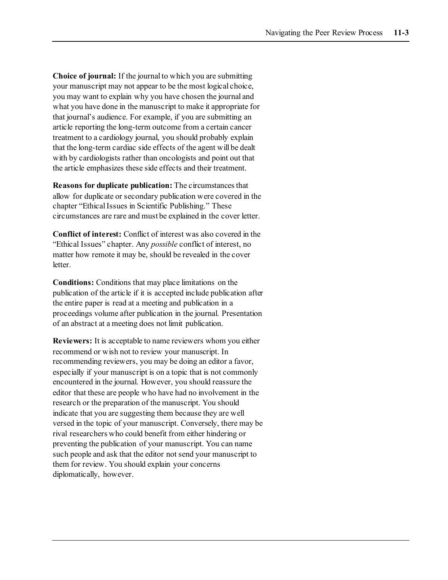**Choice of journal:** If the journal to which you are submitting your manuscript may not appear to be the most logical choice, you may want to explain why you have chosen the journal and what you have done in the manuscript to make it appropriate for that journal's audience. For example, if you are submitting an article reporting the long-term outcome from a certain cancer treatment to a cardiology journal, you should probably explain that the long-term cardiac side effects of the agent will be dealt with by cardiologists rather than oncologists and point out that the article emphasizes these side effects and their treatment.

**Reasons for duplicate publication:** The circumstances that allow for duplicate or secondary publication were covered in the chapter "Ethical Issues in Scientific Publishing." These circumstances are rare and must be explained in the cover letter.

**Conflict of interest:** Conflict of interest was also covered in the "Ethical Issues" chapter. Any *possible* conflict of interest, no matter how remote it may be, should be revealed in the cover letter.

**Conditions:** Conditions that may place limitations on the publication of the article if it is accepted include publication after the entire paper is read at a meeting and publication in a proceedings volume after publication in the journal. Presentation of an abstract at a meeting does not limit publication.

**Reviewers:** It is acceptable to name reviewers whom you either recommend or wish not to review your manuscript. In recommending reviewers, you may be doing an editor a favor, especially if your manuscript is on a topic that is not commonly encountered in the journal. However, you should reassure the editor that these are people who have had no involvement in the research or the preparation of the manuscript. You should indicate that you are suggesting them because they are well versed in the topic of your manuscript. Conversely, there may be rival researchers who could benefit from either hindering or preventing the publication of your manuscript. You can name such people and ask that the editor not send your manuscript to them for review. You should explain your concerns diplomatically, however.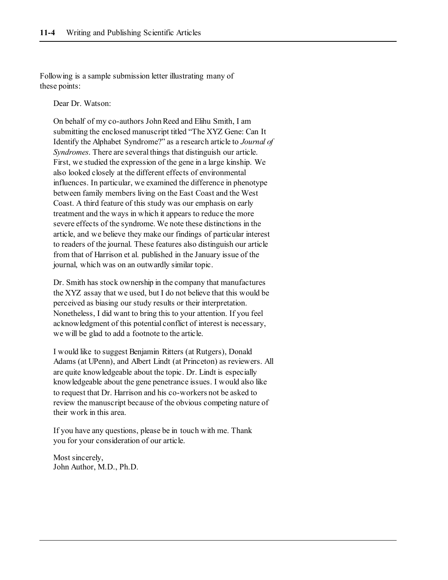Following is a sample submission letter illustrating many of these points:

Dear Dr. Watson:

On behalf of my co-authors John Reed and Elihu Smith, I am submitting the enclosed manuscript titled "The XYZ Gene: Can It Identify the Alphabet Syndrome?" as a research article to *Journal of Syndromes*. There are several things that distinguish our article. First, we studied the expression of the gene in a large kinship. We also looked closely at the different effects of environmental influences. In particular, we examined the difference in phenotype between family members living on the East Coast and the West Coast. A third feature of this study was our emphasis on early treatment and the ways in which it appears to reduce the more severe effects of the syndrome. We note these distinctions in the article, and we believe they make our findings of particular interest to readers of the journal. These features also distinguish our article from that of Harrison et al. published in the January issue of the journal, which was on an outwardly similar topic.

Dr. Smith has stock ownership in the company that manufactures the XYZ assay that we used, but I do not believe that this would be perceived as biasing our study results or their interpretation. Nonetheless, I did want to bring this to your attention. If you feel acknowledgment of this potential conflict of interest is necessary, we will be glad to add a footnote to the article.

I would like to suggest Benjamin Ritters (at Rutgers), Donald Adams (at UPenn), and Albert Lindt (at Princeton) as reviewers. All are quite knowledgeable about the topic. Dr. Lindt is especially knowledgeable about the gene penetrance issues. I would also like to request that Dr. Harrison and his co-workers not be asked to review the manuscript because of the obvious competing nature of their work in this area.

If you have any questions, please be in touch with me. Thank you for your consideration of our article.

Most sincerely, John Author, M.D., Ph.D.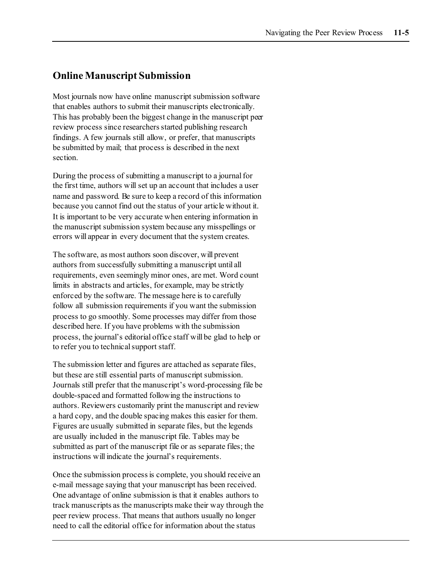### **Online Manuscript Submission**

Most journals now have online manuscript submission software that enables authors to submit their manuscripts electronically. This has probably been the biggest change in the manuscript peer review process since researchers started publishing research findings. A few journals still allow, or prefer, that manuscripts be submitted by mail; that process is described in the next section.

During the process of submitting a manuscript to a journal for the first time, authors will set up an account that includes a user name and password. Be sure to keep a record of this information because you cannot find out the status of your article without it. It is important to be very accurate when entering information in the manuscript submission system because any misspellings or errors will appear in every document that the system creates.

The software, as most authors soon discover, will prevent authors from successfully submitting a manuscript until all requirements, even seemingly minor ones, are met. Word count limits in abstracts and articles, for example, may be strictly enforced by the software. The message here is to carefully follow all submission requirements if you want the submission process to go smoothly. Some processes may differ from those described here. If you have problems with the submission process, the journal's editorial office staff will be glad to help or to refer you to technical support staff.

The submission letter and figures are attached as separate files, but these are still essential parts of manuscript submission. Journals still prefer that the manuscript's word-processing file be double-spaced and formatted following the instructions to authors. Reviewers customarily print the manuscript and review a hard copy, and the double spacing makes this easier for them. Figures are usually submitted in separate files, but the legends are usually included in the manuscript file. Tables may be submitted as part of the manuscript file or as separate files; the instructions will indicate the journal's requirements.

Once the submission process is complete, you should receive an e-mail message saying that your manuscript has been received. One advantage of online submission is that it enables authors to track manuscripts as the manuscripts make their way through the peer review process. That means that authors usually no longer need to call the editorial office for information about the status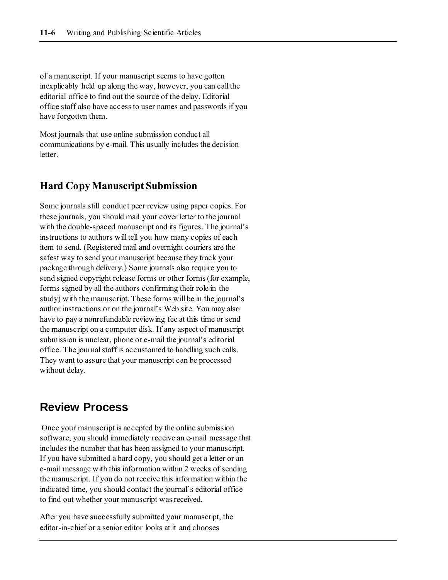of a manuscript. If your manuscript seems to have gotten inexplicably held up along the way, however, you can call the editorial office to find out the source of the delay. Editorial office staff also have access to user names and passwords if you have forgotten them.

Most journals that use online submission conduct all communications by e-mail. This usually includes the decision letter.

#### **Hard Copy Manuscript Submission**

Some journals still conduct peer review using paper copies. For these journals, you should mail your cover letter to the journal with the double-spaced manuscript and its figures. The journal's instructions to authors will tell you how many copies of each item to send. (Registered mail and overnight couriers are the safest way to send your manuscript because they track your package through delivery.) Some journals also require you to send signed copyright release forms or other forms (for example, forms signed by all the authors confirming their role in the study) with the manuscript. These forms will be in the journal's author instructions or on the journal's Web site. You may also have to pay a nonrefundable reviewing fee at this time or send the manuscript on a computer disk. If any aspect of manuscript submission is unclear, phone or e-mail the journal's editorial office. The journal staff is accustomed to handling such calls. They want to assure that your manuscript can be processed without delay.

### **Review Process**

Once your manuscript is accepted by the online submission software, you should immediately receive an e-mail message that includes the number that has been assigned to your manuscript. If you have submitted a hard copy, you should get a letter or an e-mail message with this information within 2 weeks of sending the manuscript. If you do not receive this information within the indicated time, you should contact the journal's editorial office to find out whether your manuscript was received.

After you have successfully submitted your manuscript, the editor-in-chief or a senior editor looks at it and chooses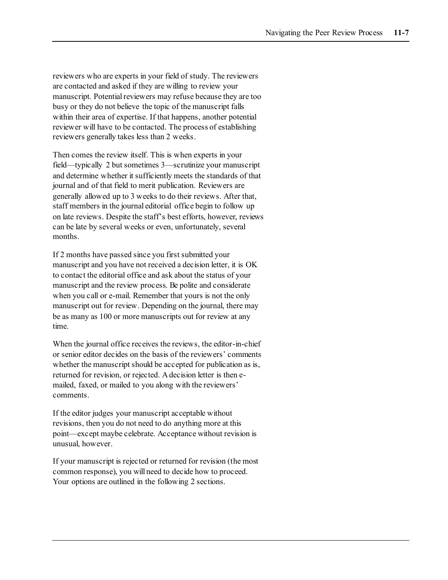reviewers who are experts in your field of study. The reviewers are contacted and asked if they are willing to review your manuscript. Potential reviewers may refuse because they are too busy or they do not believe the topic of the manuscript falls within their area of expertise. If that happens, another potential reviewer will have to be contacted. The process of establishing reviewers generally takes less than 2 weeks.

Then comes the review itself. This is when experts in your field—typically 2 but sometimes 3—scrutinize your manuscript and determine whether it sufficiently meets the standards of that journal and of that field to merit publication. Reviewers are generally allowed up to 3 weeks to do their reviews. After that, staff members in the journal editorial office begin to follow up on late reviews. Despite the staff's best efforts, however, reviews can be late by several weeks or even, unfortunately, several months.

If 2 months have passed since you first submitted your manuscript and you have not received a decision letter, it is OK to contact the editorial office and ask about the status of your manuscript and the review process. Be polite and considerate when you call or e-mail. Remember that yours is not the only manuscript out for review. Depending on the journal, there may be as many as 100 or more manuscripts out for review at any time.

When the journal office receives the reviews, the editor-in-chief or senior editor decides on the basis of the reviewers' comments whether the manuscript should be accepted for publication as is, returned for revision, or rejected. A decision letter is then emailed, faxed, or mailed to you along with the reviewers' comments.

If the editor judges your manuscript acceptable without revisions, then you do not need to do anything more at this point—except maybe celebrate. Acceptance without revision is unusual, however.

If your manuscript is rejected or returned for revision (the most common response), you will need to decide how to proceed. Your options are outlined in the following 2 sections.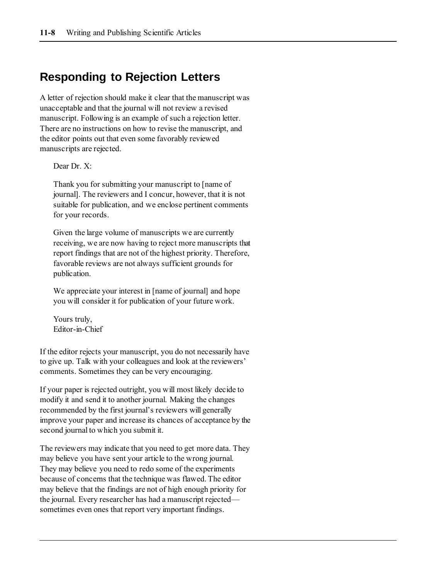### **Responding to Rejection Letters**

A letter of rejection should make it clear that the manuscript was unacceptable and that the journal will not review a revised manuscript. Following is an example of such a rejection letter. There are no instructions on how to revise the manuscript, and the editor points out that even some favorably reviewed manuscripts are rejected.

Dear Dr. X:

Thank you for submitting your manuscript to [name of journal]. The reviewers and I concur, however, that it is not suitable for publication, and we enclose pertinent comments for your records.

Given the large volume of manuscripts we are currently receiving, we are now having to reject more manuscripts that report findings that are not of the highest priority. Therefore, favorable reviews are not always sufficient grounds for publication.

We appreciate your interest in [name of journal] and hope you will consider it for publication of your future work.

Yours truly, Editor-in-Chief

If the editor rejects your manuscript, you do not necessarily have to give up. Talk with your colleagues and look at the reviewers' comments. Sometimes they can be very encouraging.

If your paper is rejected outright, you will most likely decide to modify it and send it to another journal. Making the changes recommended by the first journal's reviewers will generally improve your paper and increase its chances of acceptance by the second journal to which you submit it.

The reviewers may indicate that you need to get more data. They may believe you have sent your article to the wrong journal. They may believe you need to redo some of the experiments because of concerns that the technique was flawed. The editor may believe that the findings are not of high enough priority for the journal. Every researcher has had a manuscript rejected sometimes even ones that report very important findings.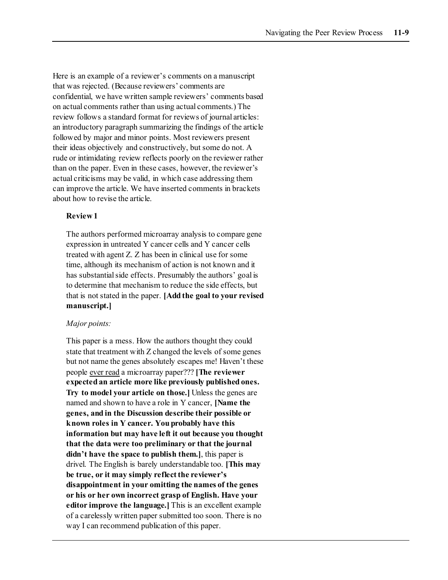Here is an example of a reviewer's comments on a manuscript that was rejected. (Because reviewers' comments are confidential, we have written sample reviewers' comments based on actual comments rather than using actual comments.) The review follows a standard format for reviews of journal articles: an introductory paragraph summarizing the findings of the article followed by major and minor points. Most reviewers present their ideas objectively and constructively, but some do not. A rude or intimidating review reflects poorly on the reviewer rather than on the paper. Even in these cases, however, the reviewer's actual criticisms may be valid, in which case addressing them can improve the article. We have inserted comments in brackets about how to revise the article.

#### **Review 1**

The authors performed microarray analysis to compare gene expression in untreated Y cancer cells and Y cancer cells treated with agent Z. Z has been in clinical use for some time, although its mechanism of action is not known and it has substantial side effects. Presumably the authors' goal is to determine that mechanism to reduce the side effects, but that is not stated in the paper. **[Add the goal to your revised manuscript.]**

#### *Major points:*

This paper is a mess. How the authors thought they could state that treatment with Z changed the levels of some genes but not name the genes absolutely escapes me! Haven't these people ever read a microarray paper??? **[The reviewer expected an article more like previously published ones. Try to model your article on those.]** Unless the genes are named and shown to have a role in Y cancer, **[Name the genes, and in the Discussion describe their possible or known roles in Y cancer. You probably have this information but may have left it out because you thought that the data were too preliminary or that the journal didn't have the space to publish them.]**, this paper is drivel. The English is barely understandable too. **[This may be true, or it may simply reflect the reviewer's disappointment in your omitting the names of the genes or his or her own incorrect grasp of English. Have your editor improve the language.]** This is an excellent example of a carelessly written paper submitted too soon. There is no way I can recommend publication of this paper.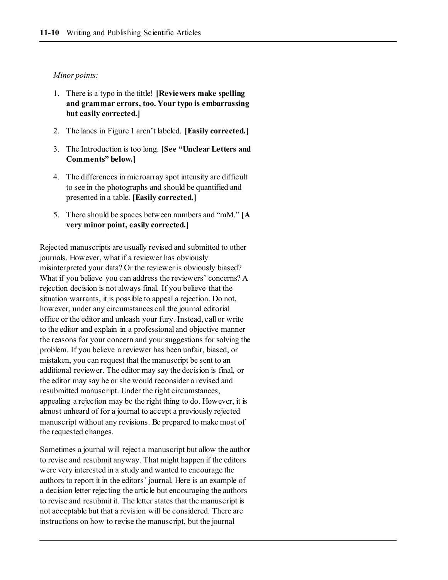#### *Minor points:*

- 1. There is a typo in the tittle! **[Reviewers make spelling and grammar errors, too. Your typo is embarrassing but easily corrected.]**
- 2. The lanes in Figure 1 aren't labeled. **[Easily corrected.]**
- 3. The Introduction is too long. **[See "Unclear Letters and Comments" below.]**
- 4. The differences in microarray spot intensity are difficult to see in the photographs and should be quantified and presented in a table. **[Easily corrected.]**
- 5. There should be spaces between numbers and "mM." **[A very minor point, easily corrected.]**

Rejected manuscripts are usually revised and submitted to other journals. However, what if a reviewer has obviously misinterpreted your data? Or the reviewer is obviously biased? What if you believe you can address the reviewers' concerns? A rejection decision is not always final. If you believe that the situation warrants, it is possible to appeal a rejection. Do not, however, under any circumstances call the journal editorial office or the editor and unleash your fury. Instead, call or write to the editor and explain in a professional and objective manner the reasons for your concern and your suggestions for solving the problem. If you believe a reviewer has been unfair, biased, or mistaken, you can request that the manuscript be sent to an additional reviewer. The editor may say the decision is final, or the editor may say he or she would reconsider a revised and resubmitted manuscript. Under the right circumstances, appealing a rejection may be the right thing to do. However, it is almost unheard of for a journal to accept a previously rejected manuscript without any revisions. Be prepared to make most of the requested changes.

Sometimes a journal will reject a manuscript but allow the author to revise and resubmit anyway. That might happen if the editors were very interested in a study and wanted to encourage the authors to report it in the editors' journal. Here is an example of a decision letter rejecting the article but encouraging the authors to revise and resubmit it. The letter states that the manuscript is not acceptable but that a revision will be considered. There are instructions on how to revise the manuscript, but the journal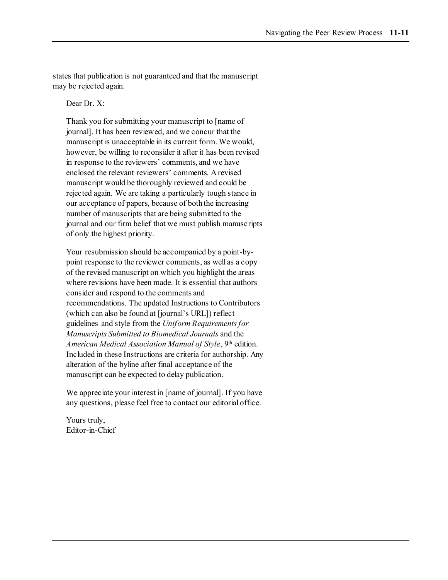states that publication is not guaranteed and that the manuscript may be rejected again.

Dear Dr. X:

Thank you for submitting your manuscript to [name of journal]. It has been reviewed, and we concur that the manuscript is unacceptable in its current form. We would, however, be willing to reconsider it after it has been revised in response to the reviewers' comments, and we have enclosed the relevant reviewers' comments. A revised manuscript would be thoroughly reviewed and could be rejected again. We are taking a particularly tough stance in our acceptance of papers, because of both the increasing number of manuscripts that are being submitted to the journal and our firm belief that we must publish manuscripts of only the highest priority.

Your resubmission should be accompanied by a point-bypoint response to the reviewer comments, as well as a copy of the revised manuscript on which you highlight the areas where revisions have been made. It is essential that authors consider and respond to the comments and recommendations. The updated Instructions to Contributors (which can also be found at [journal's URL]) reflect guidelines and style from the *Uniform Requirements for Manuscripts Submitted to Biomedical Journals* and the American Medical Association Manual of Style, 9<sup>th</sup> edition. Included in these Instructions are criteria for authorship. Any alteration of the byline after final acceptance of the manuscript can be expected to delay publication.

We appreciate your interest in [name of journal]. If you have any questions, please feel free to contact our editorial office.

Yours truly, Editor-in-Chief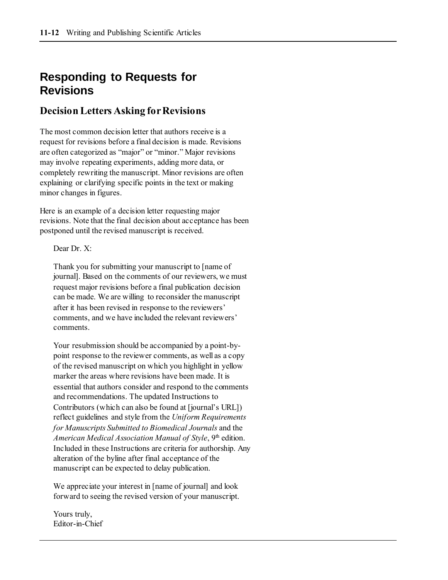## **Responding to Requests for Revisions**

### **Decision Letters Asking for Revisions**

The most common decision letter that authors receive is a request for revisions before a final decision is made. Revisions are often categorized as "major" or "minor." Major revisions may involve repeating experiments, adding more data, or completely rewriting the manuscript. Minor revisions are often explaining or clarifying specific points in the text or making minor changes in figures.

Here is an example of a decision letter requesting major revisions. Note that the final decision about acceptance has been postponed until the revised manuscript is received.

Dear Dr. X:

Thank you for submitting your manuscript to [name of journal]. Based on the comments of our reviewers, we must request major revisions before a final publication decision can be made. We are willing to reconsider the manuscript after it has been revised in response to the reviewers' comments, and we have included the relevant reviewers' comments.

Your resubmission should be accompanied by a point-bypoint response to the reviewer comments, as well as a copy of the revised manuscript on which you highlight in yellow marker the areas where revisions have been made. It is essential that authors consider and respond to the comments and recommendations. The updated Instructions to Contributors (which can also be found at [journal's URL]) reflect guidelines and style from the *Uniform Requirements for Manuscripts Submitted to Biomedical Journals* and the *American Medical Association Manual of Style*, 9<sup>th</sup> edition. Included in these Instructions are criteria for authorship. Any alteration of the byline after final acceptance of the manuscript can be expected to delay publication.

We appreciate your interest in [name of journal] and look forward to seeing the revised version of your manuscript.

Yours truly, Editor-in-Chief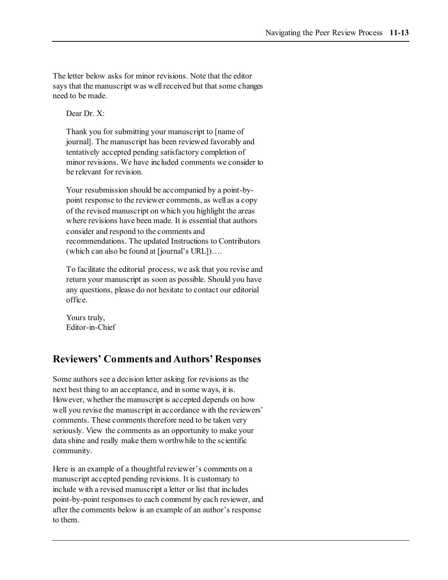The letter below asks for minor revisions. Note that the editor says that the manuscript was well received but that some changes need to be made.

Dear Dr. X:

Thank you for submitting your manuscript to [name of journal]. The manuscript has been reviewed favorably and tentatively accepted pending satisfactory completion of minor revisions. We have included comments we consider to be relevant for revision.

Your resubmission should be accompanied by a point-bypoint response to the reviewer comments, as well as a copy of the revised manuscript on which you highlight the areas where revisions have been made. It is essential that authors consider and respond to the comments and recommendations. The updated Instructions to Contributors (which can also be found at [journal's URL])….

To facilitate the editorial process, we ask that you revise and return your manuscript as soon as possible. Should you have any questions, please do not hesitate to contact our editorial office.

Yours truly, Editor-in-Chief

### **Reviewers' Comments and Authors' Responses**

Some authors see a decision letter asking for revisions as the next best thing to an acceptance, and in some ways, it is. However, whether the manuscript is accepted depends on how well you revise the manuscript in accordance with the reviewers' comments. These comments therefore need to be taken very seriously. View the comments as an opportunity to make your data shine and really make them worthwhile to the scientific community.

Here is an example of a thoughtful reviewer's comments on a manuscript accepted pending revisions. It is customary to include with a revised manuscript a letter or list that includes point-by-point responses to each comment by each reviewer, and after the comments below is an example of an author's response to them.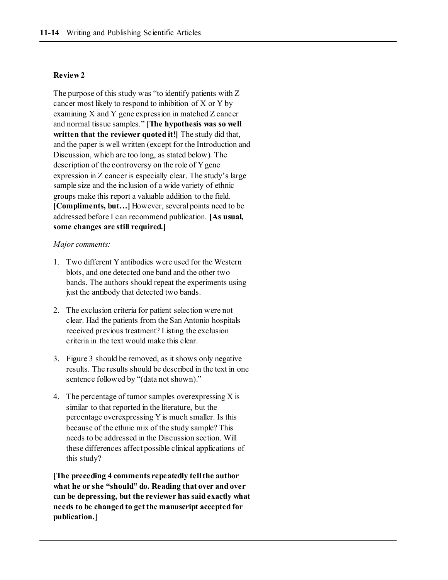#### **Review 2**

The purpose of this study was "to identify patients with Z cancer most likely to respond to inhibition of X or Y by examining X and Y gene expression in matched Z cancer and normal tissue samples." **[The hypothesis was so well written that the reviewer quoted it!]** The study did that, and the paper is well written (except for the Introduction and Discussion, which are too long, as stated below). The description of the controversy on the role of Y gene expression in Z cancer is especially clear. The study's large sample size and the inclusion of a wide variety of ethnic groups make this report a valuable addition to the field. **[Compliments, but…]** However, several points need to be addressed before I can recommend publication. **[As usual, some changes are still required.]**

#### *Major comments:*

- 1. Two different Y antibodies were used for the Western blots, and one detected one band and the other two bands. The authors should repeat the experiments using just the antibody that detected two bands.
- 2. The exclusion criteria for patient selection were not clear. Had the patients from the San Antonio hospitals received previous treatment? Listing the exclusion criteria in the text would make this clear.
- 3. Figure 3 should be removed, as it shows only negative results. The results should be described in the text in one sentence followed by "(data not shown)."
- 4. The percentage of tumor samples over expressing  $X$  is similar to that reported in the literature, but the percentage overexpressing Y is much smaller. Is this because of the ethnic mix of the study sample? This needs to be addressed in the Discussion section. Will these differences affect possible clinical applications of this study?

**[The preceding 4 comments repeatedly tell the author what he or she "should" do. Reading that over and over can be depressing, but the reviewer has said exactly what needs to be changed to get the manuscript accepted for publication.]**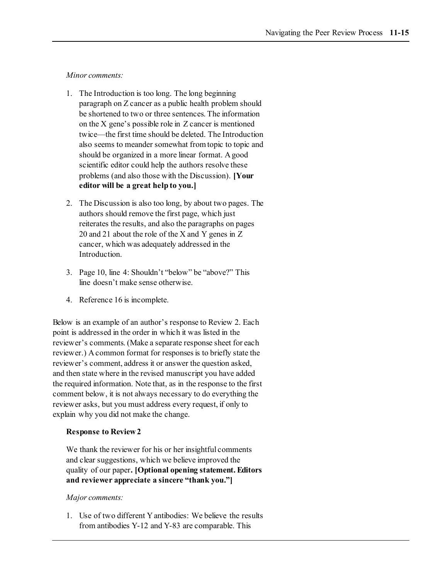*Minor comments:*

- 1. The Introduction is too long. The long beginning paragraph on Z cancer as a public health problem should be shortened to two or three sentences. The information on the X gene's possible role in Z cancer is mentioned twice—the first time should be deleted. The Introduction also seems to meander somewhat from topic to topic and should be organized in a more linear format. A good scientific editor could help the authors resolve these problems (and also those with the Discussion). **[Your editor will be a great help to you.]**
- 2. The Discussion is also too long, by about two pages. The authors should remove the first page, which just reiterates the results, and also the paragraphs on pages 20 and 21 about the role of the X and Y genes in Z cancer, which was adequately addressed in the Introduction.
- 3. Page 10, line 4: Shouldn't "below" be "above?" This line doesn't make sense otherwise.
- 4. Reference 16 is incomplete.

Below is an example of an author's response to Review 2. Each point is addressed in the order in which it was listed in the reviewer's comments. (Make a separate response sheet for each reviewer.) A common format for responses is to briefly state the reviewer's comment, address it or answer the question asked, and then state where in the revised manuscript you have added the required information. Note that, as in the response to the first comment below, it is not always necessary to do everything the reviewer asks, but you must address every request, if only to explain why you did not make the change.

#### **Response to Review 2**

We thank the reviewer for his or her insightful comments and clear suggestions, which we believe improved the quality of our paper**. [Optional opening statement. Editors and reviewer appreciate a sincere "thank you."]**

#### *Major comments:*

1. Use of two different Y antibodies: We believe the results from antibodies Y-12 and Y-83 are comparable. This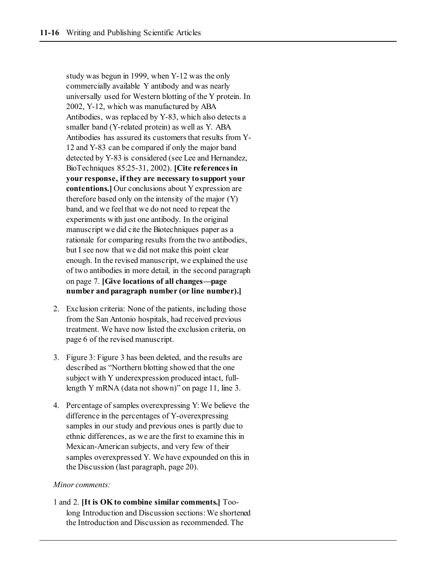study was begun in 1999, when Y-12 was the only commercially available Y antibody and was nearly universally used for Western blotting of the Y protein. In 2002, Y-12, which was manufactured by ABA Antibodies, was replaced by Y-83, which also detects a smaller band (Y-related protein) as well as Y. ABA Antibodies has assured its customers that results from Y-12 and Y-83 can be compared if only the major band detected by Y-83 is considered (see Lee and Hernandez, BioTechniques 85:25-31, 2002). **[Cite references in your response, if they are necessary to support your contentions.]** Our conclusions about Y expression are therefore based only on the intensity of the major (Y) band, and we feel that we do not need to repeat the experiments with just one antibody. In the original manuscript we did cite the Biotechniques paper as a rationale for comparing results from the two antibodies, but I see now that we did not make this point clear enough. In the revised manuscript, we explained the use of two antibodies in more detail, in the second paragraph on page 7. **[Give locations of all changes—page number and paragraph number (or line number).]**

- 2. Exclusion criteria: None of the patients, including those from the San Antonio hospitals, had received previous treatment. We have now listed the exclusion criteria, on page 6 of the revised manuscript.
- 3. Figure 3: Figure 3 has been deleted, and the results are described as "Northern blotting showed that the one subject with Y underexpression produced intact, fulllength Y mRNA (data not shown)" on page 11, line 3.
- 4. Percentage of samples overexpressing Y: We believe the difference in the percentages of Y-overexpressing samples in our study and previous ones is partly due to ethnic differences, as we are the first to examine this in Mexican-American subjects, and very few of their samples overexpressed Y. We have expounded on this in the Discussion (last paragraph, page 20).

#### *Minor comments:*

1 and 2. **[It is OK to combine similar comments.]** Toolong Introduction and Discussion sections: We shortened the Introduction and Discussion as recommended. The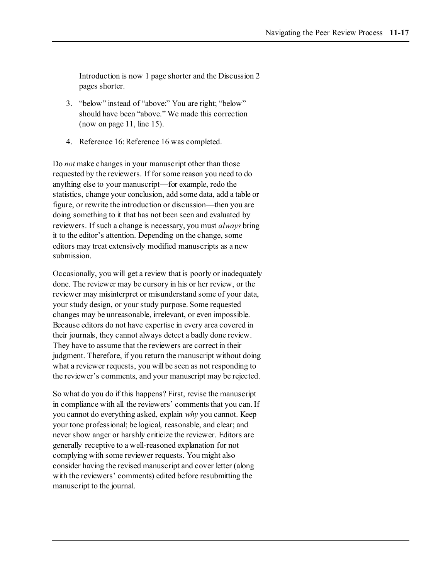Introduction is now 1 page shorter and the Discussion 2 pages shorter.

- 3. "below" instead of "above:" You are right; "below" should have been "above." We made this correction (now on page 11, line 15).
- 4. Reference 16: Reference 16 was completed.

Do *not* make changes in your manuscript other than those requested by the reviewers. If for some reason you need to do anything else to your manuscript—for example, redo the statistics, change your conclusion, add some data, add a table or figure, or rewrite the introduction or discussion—then you are doing something to it that has not been seen and evaluated by reviewers. If such a change is necessary, you must *always* bring it to the editor's attention. Depending on the change, some editors may treat extensively modified manuscripts as a new submission.

Occasionally, you will get a review that is poorly or inadequately done. The reviewer may be cursory in his or her review, or the reviewer may misinterpret or misunderstand some of your data, your study design, or your study purpose. Some requested changes may be unreasonable, irrelevant, or even impossible. Because editors do not have expertise in every area covered in their journals, they cannot always detect a badly done review. They have to assume that the reviewers are correct in their judgment. Therefore, if you return the manuscript without doing what a reviewer requests, you will be seen as not responding to the reviewer's comments, and your manuscript may be rejected.

So what do you do if this happens? First, revise the manuscript in compliance with all the reviewers' comments that you can. If you cannot do everything asked, explain *why* you cannot. Keep your tone professional; be logical, reasonable, and clear; and never show anger or harshly criticize the reviewer. Editors are generally receptive to a well-reasoned explanation for not complying with some reviewer requests. You might also consider having the revised manuscript and cover letter (along with the reviewers' comments) edited before resubmitting the manuscript to the journal.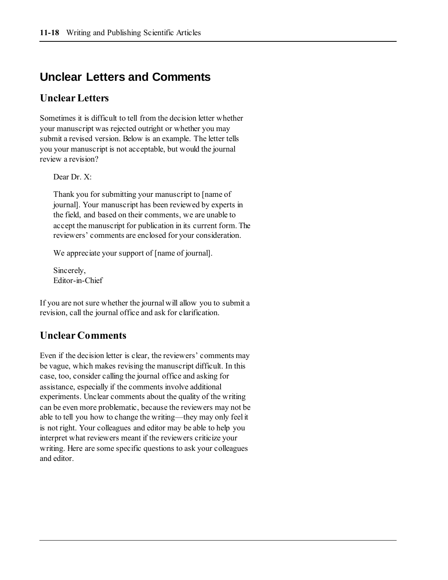## **Unclear Letters and Comments**

### **Unclear Letters**

Sometimes it is difficult to tell from the decision letter whether your manuscript was rejected outright or whether you may submit a revised version. Below is an example. The letter tells you your manuscript is not acceptable, but would the journal review a revision?

Dear Dr. X:

Thank you for submitting your manuscript to [name of journal]. Your manuscript has been reviewed by experts in the field, and based on their comments, we are unable to accept the manuscript for publication in its current form. The reviewers' comments are enclosed for your consideration.

We appreciate your support of [name of journal].

Sincerely, Editor-in-Chief

If you are not sure whether the journal will allow you to submit a revision, call the journal office and ask for clarification.

### **Unclear Comments**

Even if the decision letter is clear, the reviewers' comments may be vague, which makes revising the manuscript difficult. In this case, too, consider calling the journal office and asking for assistance, especially if the comments involve additional experiments. Unclear comments about the quality of the writing can be even more problematic, because the reviewers may not be able to tell you how to change the writing—they may only feel it is not right. Your colleagues and editor may be able to help you interpret what reviewers meant if the reviewers criticize your writing. Here are some specific questions to ask your colleagues and editor.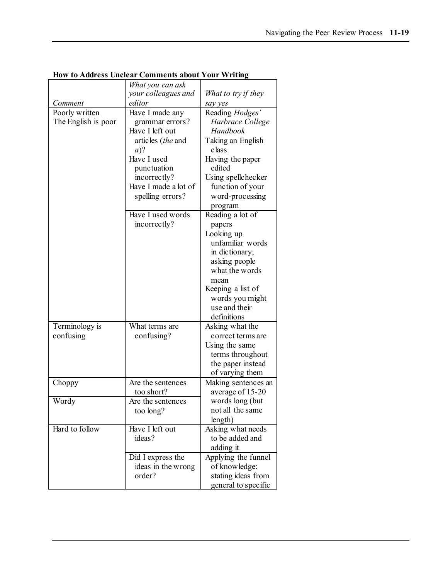|                                       | What you can ask                                                                                                                                                                                    |                                                                                                                                                                                                         |
|---------------------------------------|-----------------------------------------------------------------------------------------------------------------------------------------------------------------------------------------------------|---------------------------------------------------------------------------------------------------------------------------------------------------------------------------------------------------------|
|                                       | your colleagues and                                                                                                                                                                                 | What to try if they                                                                                                                                                                                     |
| Comment                               | editor                                                                                                                                                                                              | say yes                                                                                                                                                                                                 |
| Poorly written<br>The English is poor | Have I made any<br>grammar errors?<br>Have I left out<br>articles (the and<br>$a)$ ?<br>Have I used<br>punctuation<br>incorrectly?<br>Have I made a lot of<br>spelling errors?<br>Have I used words | Reading Hodges'<br>Harbrace College<br>Handbook<br>Taking an English<br>class<br>Having the paper<br>edited<br>Using spellchecker<br>function of your<br>word-processing<br>program<br>Reading a lot of |
|                                       | incorrectly?                                                                                                                                                                                        | papers<br>Looking up<br>unfamiliar words<br>in dictionary;<br>asking people<br>what the words<br>mean<br>Keeping a list of<br>words you might<br>use and their<br>definitions                           |
| Terminology is<br>confusing           | What terms are<br>confusing?                                                                                                                                                                        | Asking what the<br>correct terms are<br>Using the same<br>terms throughout<br>the paper instead<br>of varying them                                                                                      |
| Choppy                                | Are the sentences<br>too short?                                                                                                                                                                     | Making sentences an<br>average of 15-20                                                                                                                                                                 |
| Wordy                                 | Are the sentences<br>too long?                                                                                                                                                                      | words long (but<br>not all the same<br>length)                                                                                                                                                          |
| Hard to follow                        | Have I left out<br>ideas?                                                                                                                                                                           | Asking what needs<br>to be added and<br>adding it                                                                                                                                                       |
|                                       | Did I express the<br>ideas in the wrong<br>order?                                                                                                                                                   | Applying the funnel<br>of knowledge:<br>stating ideas from<br>general to specific                                                                                                                       |

**How to Address Unclear Comments about Your Writing**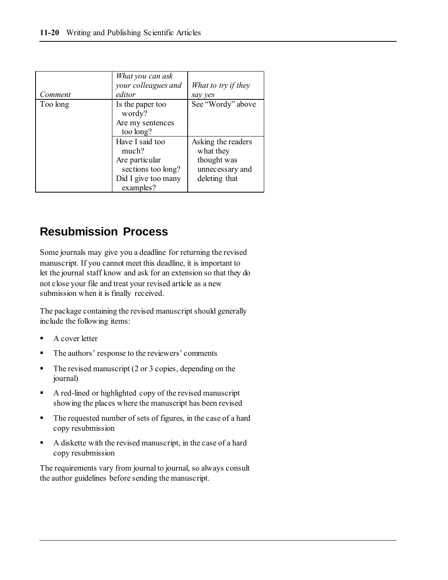| Comment  | What you can ask<br>your colleagues and<br>editor                                                    | What to try if they<br>say yes                                                     |
|----------|------------------------------------------------------------------------------------------------------|------------------------------------------------------------------------------------|
| Too long | Is the paper too<br>wordy?<br>Are my sentences<br>too long?                                          | See "Wordy" above                                                                  |
|          | Have I said too<br>much?<br>Are particular<br>sections too long?<br>Did I give too many<br>examples? | Asking the readers<br>what they<br>thought was<br>unnecessary and<br>deleting that |

## **Resubmission Process**

Some journals may give you a deadline for returning the revised manuscript. If you cannot meet this deadline, it is important to let the journal staff know and ask for an extension so that they do not close your file and treat your revised article as a new submission when it is finally received.

The package containing the revised manuscript should generally include the following items:

- A cover letter
- The authors' response to the reviewers' comments
- The revised manuscript (2 or 3 copies, depending on the journal)
- A red-lined or highlighted copy of the revised manuscript showing the places where the manuscript has been revised
- The requested number of sets of figures, in the case of a hard copy resubmission
- A diskette with the revised manuscript, in the case of a hard copy resubmission

The requirements vary from journal to journal, so always consult the author guidelines before sending the manuscript.